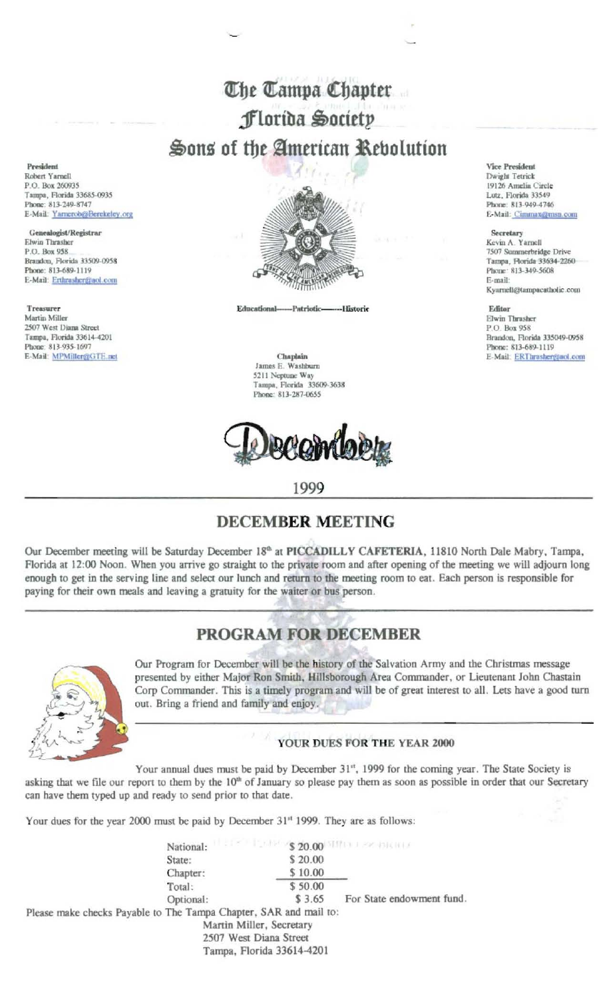# The Tampa Chapter Florida Society Sons of the American Rebolution

President Robert Yarnell P.O. Box 260935 Tampa, Florida 33685-0935 Phone: 813-249-8747 E-Mail: Yarnerob@Berekeley.org

Genealogist/Registrar Elwin Thrasher P.O. Box 958 Brandon, Florida 33509-0958 Phone: 813-689-1119 E-Mail: Erthrasher@aol.com

**Treasurer** Martin Miller 2507 West Diana Street Tampa, Florida 33614-4201 Phone: 813-935-1697 E-Mail: MPMiller@GTE.net



Educational-Patriotic----Historic

#### Chaplain James E. Washburn 5211 Neptune Way<br>Tampa, Florida 33609-3638 Phone: 813-287-0655

AQMIQ

### 1999

## **DECEMBER MEETING**

Our December meeting will be Saturday December 18th at PICCADILLY CAFETERIA, 11810 North Dale Mabry, Tampa, Florida at 12:00 Noon. When you arrive go straight to the private room and after opening of the meeting we will adjourn long enough to get in the serving line and select our lunch and return to the meeting room to eat. Each person is responsible for paying for their own meals and leaving a gratuity for the waiter or bus person.

# **PROGRAM FOR DECEMBER**



Our Program for December will be the history of the Salvation Army and the Christmas message presented by either Major Ron Smith, Hillsborough Area Commander, or Lieutenant John Chastain Corp Commander. This is a timely program and will be of great interest to all. Lets have a good turn out. Bring a friend and family and enjoy.

### YOUR DUES FOR THE YEAR 2000

Your annual dues must be paid by December 31<sup>st</sup>, 1999 for the coming year. The State Society is asking that we file our report to them by the 10<sup>th</sup> of January so please pay them as soon as possible in order that our Secretary can have them typed up and ready to send prior to that date.

Your dues for the year 2000 must be paid by December 31<sup>t</sup> 1999. They are as follows:

**S 20.00 MINUTES ANTIFICATE** National: State: \$20.00 Chapter: \$10.00 Total: \$50.00 \$3.65 For State endowment fund. Optional: Please make checks Payable to The Tampa Chapter, SAR and mail to: Martin Miller, Secretary 2507 West Diana Street Tampa, Florida 33614-4201

Vice President Dwight Tetrick 19126 Amelia Circle Lutz, Florida 33549 Phone: 813-949-4746 E-Mail: Cimmax@msn.com

#### Secretary

Kevin A. Yarnell 7507 Summerbridge Drive Tampa, Florida 33634-2260 Phone: 813-349-5608 E-mail: Kyarnell@tampacatholic.com

Editor **Elwin Thrasher** P.O. Box 958 Brandon, Florida 335049-0958 Phone: 813-689-1119 E-Mail: ERThrasher@aol.com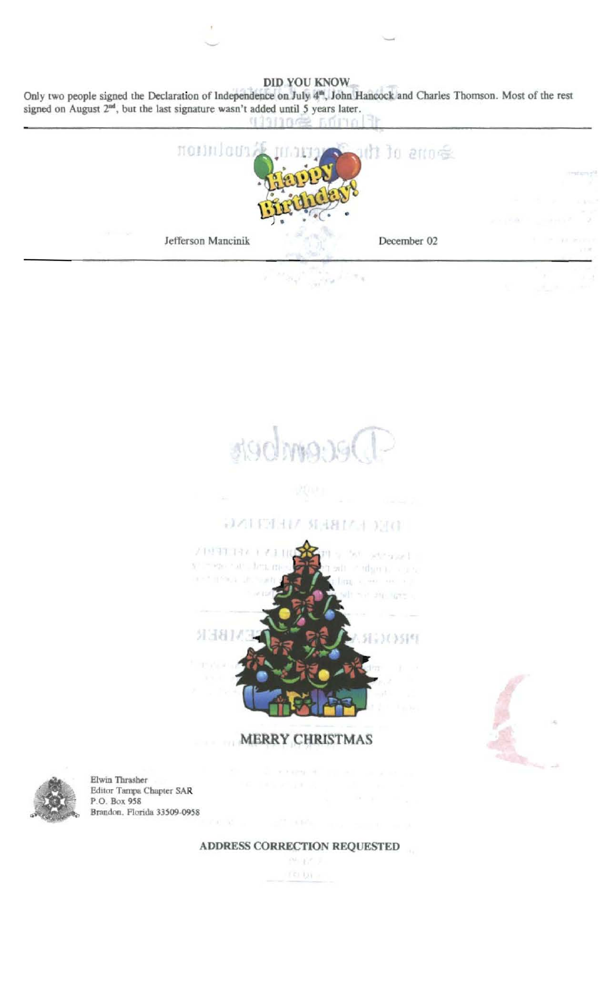DID YOU KNOW

Only two people signed the Declaration of Independence on July 4<sup>th</sup>, John Hancock and Charles Thomson. Most of the rest signed on August 2<sup>nd</sup>, but the last signature wasn't added until 5 years later.





### **DALENHA MARIA DIGI**



**MERRY CHRISTMAS** 



Elwin Thrasher Editor Tampa Chapter SAR P.O. Box 958 Brandon, Florida 33509-0958

ADDRESS CORRECTION REQUESTED

四五/リ rei bi a